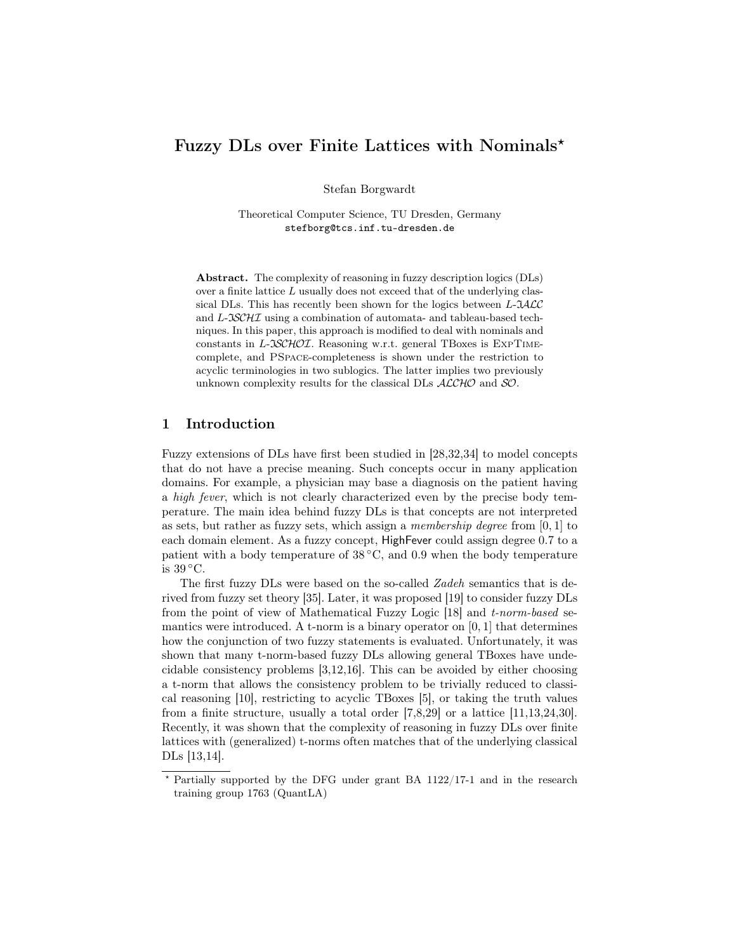# Fuzzy DLs over Finite Lattices with Nominals?

Stefan Borgwardt

Theoretical Computer Science, TU Dresden, Germany stefborg@tcs.inf.tu-dresden.de

Abstract. The complexity of reasoning in fuzzy description logics (DLs) over a finite lattice  $L$  usually does not exceed that of the underlying classical DLs. This has recently been shown for the logics between  $L$ - $JALC$ and L-ISCHI using a combination of automata- and tableau-based techniques. In this paper, this approach is modified to deal with nominals and constants in L-ISCHOI. Reasoning w.r.t. general TBoxes is EXPTIMEcomplete, and PSpace-completeness is shown under the restriction to acyclic terminologies in two sublogics. The latter implies two previously unknown complexity results for the classical DLs  $ALCHO$  and SO.

## 1 Introduction

Fuzzy extensions of DLs have first been studied in [28,32,34] to model concepts that do not have a precise meaning. Such concepts occur in many application domains. For example, a physician may base a diagnosis on the patient having a high fever, which is not clearly characterized even by the precise body temperature. The main idea behind fuzzy DLs is that concepts are not interpreted as sets, but rather as fuzzy sets, which assign a *membership degree* from  $[0, 1]$  to each domain element. As a fuzzy concept, HighFever could assign degree 0.7 to a patient with a body temperature of  $38^{\circ}$ C, and 0.9 when the body temperature is 39 ◦C.

The first fuzzy DLs were based on the so-called Zadeh semantics that is derived from fuzzy set theory [35]. Later, it was proposed [19] to consider fuzzy DLs from the point of view of Mathematical Fuzzy Logic [18] and t-norm-based semantics were introduced. A t-norm is a binary operator on  $[0, 1]$  that determines how the conjunction of two fuzzy statements is evaluated. Unfortunately, it was shown that many t-norm-based fuzzy DLs allowing general TBoxes have undecidable consistency problems [3,12,16]. This can be avoided by either choosing a t-norm that allows the consistency problem to be trivially reduced to classical reasoning [10], restricting to acyclic TBoxes [5], or taking the truth values from a finite structure, usually a total order [7,8,29] or a lattice [11,13,24,30]. Recently, it was shown that the complexity of reasoning in fuzzy DLs over finite lattices with (generalized) t-norms often matches that of the underlying classical DLs [13,14].

<sup>?</sup> Partially supported by the DFG under grant BA 1122/17-1 and in the research training group 1763 (QuantLA)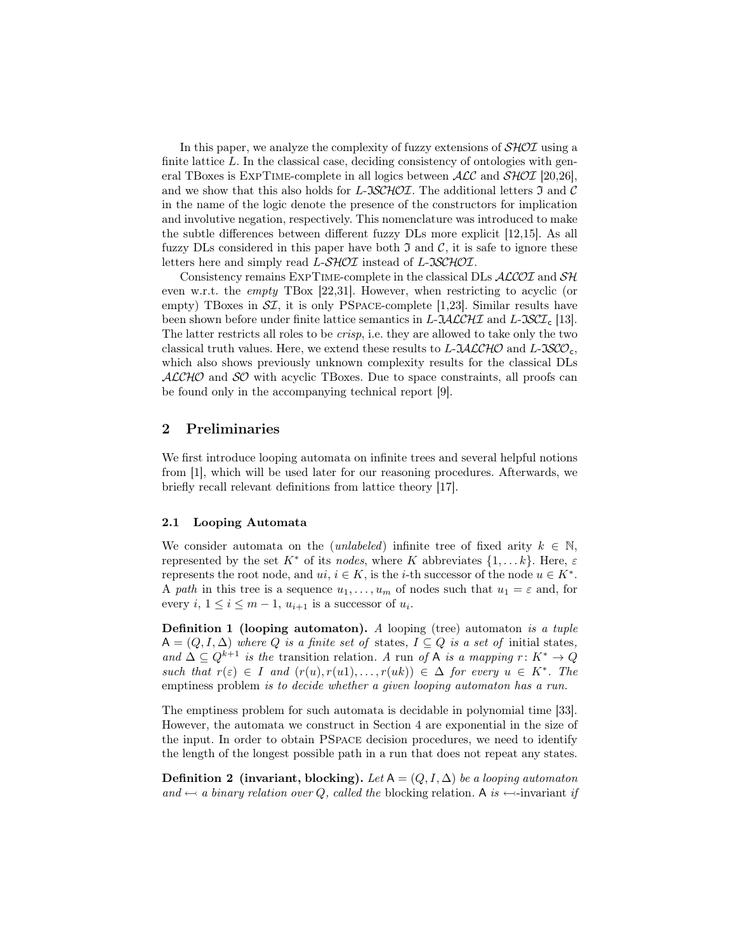In this paper, we analyze the complexity of fuzzy extensions of  $\mathcal{SHOL}$  using a finite lattice  $L$ . In the classical case, deciding consistency of ontologies with general TBoxes is EXPTIME-complete in all logics between  $\text{ACC}$  and  $\text{SHOT}$  [20,26], and we show that this also holds for  $L\text{-}\mathcal{SCHOL}$ . The additional letters  $\mathfrak I$  and  $\mathcal C$ in the name of the logic denote the presence of the constructors for implication and involutive negation, respectively. This nomenclature was introduced to make the subtle differences between different fuzzy DLs more explicit [12,15]. As all fuzzy DLs considered in this paper have both  $\mathfrak I$  and  $\mathcal C$ , it is safe to ignore these letters here and simply read L-SHOI instead of L-ISCHOI.

Consistency remains EXPTIME-complete in the classical DLs  $ALCOL$  and  $SH$ even w.r.t. the empty TBox [22,31]. However, when restricting to acyclic (or empty) TBoxes in  $ST$ , it is only PSPACE-complete [1,23]. Similar results have been shown before under finite lattice semantics in L- $\mathcal{L}\mathcal{L}\mathcal{L}\mathcal{L}\mathcal{H}\mathcal{I}$  and L- $\mathcal{L}\mathcal{S}\mathcal{C}\mathcal{I}_c$  [13]. The latter restricts all roles to be crisp, i.e. they are allowed to take only the two classical truth values. Here, we extend these results to  $L$ - $\mathcal{IALCHO}$  and  $L$ - $\mathcal{ISCO}_{c}$ , which also shows previously unknown complexity results for the classical DLs  $ALCHO$  and  $SO$  with acyclic TBoxes. Due to space constraints, all proofs can be found only in the accompanying technical report [9].

## 2 Preliminaries

We first introduce looping automata on infinite trees and several helpful notions from [1], which will be used later for our reasoning procedures. Afterwards, we briefly recall relevant definitions from lattice theory [17].

#### 2.1 Looping Automata

We consider automata on the (*unlabeled*) infinite tree of fixed arity  $k \in \mathbb{N}$ , represented by the set  $K^*$  of its nodes, where K abbreviates  $\{1, \ldots k\}$ . Here,  $\varepsilon$ represents the root node, and  $ui, i \in K$ , is the *i*-th successor of the node  $u \in K^*$ . A path in this tree is a sequence  $u_1, \ldots, u_m$  of nodes such that  $u_1 = \varepsilon$  and, for every  $i, 1 \leq i \leq m-1$ ,  $u_{i+1}$  is a successor of  $u_i$ .

**Definition 1 (looping automaton).** A looping (tree) automaton is a tuple  $A = (Q, I, \Delta)$  where Q is a finite set of states,  $I \subseteq Q$  is a set of initial states, and  $\Delta \subseteq Q^{k+1}$  is the transition relation. A run of A is a mapping  $r: K^* \to Q$ such that  $r(\varepsilon) \in I$  and  $(r(u), r(u1), \ldots, r(uk)) \in \Delta$  for every  $u \in K^*$ . The emptiness problem *is to decide whether a given looping automaton has a run*.

The emptiness problem for such automata is decidable in polynomial time [33]. However, the automata we construct in Section 4 are exponential in the size of the input. In order to obtain PSpace decision procedures, we need to identify the length of the longest possible path in a run that does not repeat any states.

**Definition 2** (invariant, blocking). Let  $A = (Q, I, \Delta)$  be a looping automaton and  $\leftarrow a$  binary relation over Q, called the blocking relation. A is  $\leftarrow$ -invariant if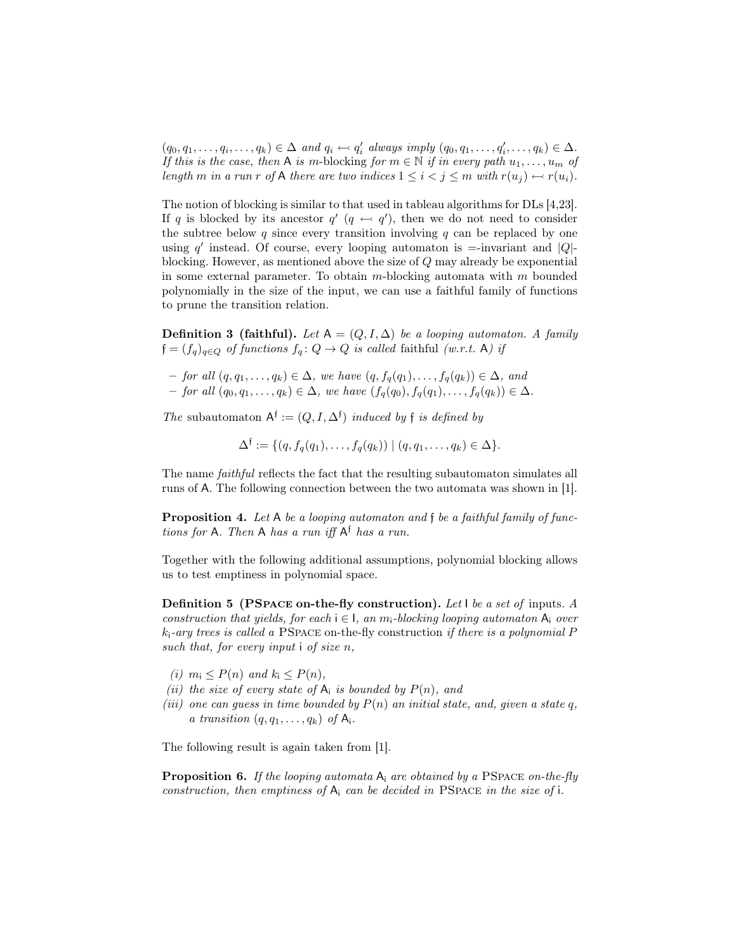$(q_0, q_1, \ldots, q_i, \ldots, q_k) \in \Delta$  and  $q_i \leftarrow q'_i$  always imply  $(q_0, q_1, \ldots, q'_i, \ldots, q_k) \in \Delta$ . If this is the case, then A is m-blocking for  $m \in \mathbb{N}$  if in every path  $u_1, \ldots, u_m$  of length m in a run r of A there are two indices  $1 \leq i < j \leq m$  with  $r(u_j) \leftarrow r(u_i)$ .

The notion of blocking is similar to that used in tableau algorithms for DLs [4,23]. If q is blocked by its ancestor  $q'$   $(q \leftrightarrow q')$ , then we do not need to consider the subtree below q since every transition involving  $q$  can be replaced by one using  $q'$  instead. Of course, every looping automaton is =-invariant and  $|Q|$ blocking. However, as mentioned above the size of  $Q$  may already be exponential in some external parameter. To obtain  $m$ -blocking automata with  $m$  bounded polynomially in the size of the input, we can use a faithful family of functions to prune the transition relation.

**Definition 3 (faithful).** Let  $A = (Q, I, \Delta)$  be a looping automaton. A family  $\mathfrak{f}=(f_q)_{q\in Q}$  of functions  $f_q\colon Q\to Q$  is called faithful (w.r.t. A) if

- for all  $(q, q_1, \ldots, q_k) \in \Delta$ , we have  $(q, f_q(q_1), \ldots, f_q(q_k)) \in \Delta$ , and
- for all  $(q_0, q_1, \ldots, q_k)$  ∈ Δ, we have  $(f_q(q_0), f_q(q_1), \ldots, f_q(q_k))$  ∈ Δ.

The subautomaton  $A^{\dagger} := (Q, I, \Delta^{\dagger})$  induced by f is defined by

 $\Delta^{\dagger} := \{ (q, f_q(q_1), \ldots, f_q(q_k)) \mid (q, q_1, \ldots, q_k) \in \Delta \}.$ 

The name *faithful* reflects the fact that the resulting subautomaton simulates all runs of A. The following connection between the two automata was shown in [1].

**Proposition 4.** Let A be a looping automaton and f be a faithful family of functions for A. Then A has a run iff  $A^{\dagger}$  has a run.

Together with the following additional assumptions, polynomial blocking allows us to test emptiness in polynomial space.

Definition 5 (PSpace on-the-fly construction). Let I be a set of inputs. A construction that yields, for each  $i \in I$ , an  $m_i$ -blocking looping automaton  $A_i$  over  $k_i$ -ary trees is called a PSPACE on-the-fly construction if there is a polynomial P such that, for every input  $\mathfrak i$  of size  $n$ ,

- (i)  $m_i \leq P(n)$  and  $k_i \leq P(n)$ ,
- (ii) the size of every state of  $A_i$  is bounded by  $P(n)$ , and
- (iii) one can guess in time bounded by  $P(n)$  an initial state, and, given a state q, a transition  $(q, q_1, \ldots, q_k)$  of  $A_i$ .

The following result is again taken from [1].

**Proposition 6.** If the looping automata  $A_i$  are obtained by a PSPACE on-the-fly construction, then emptiness of  $A_i$  can be decided in PSPACE in the size of i.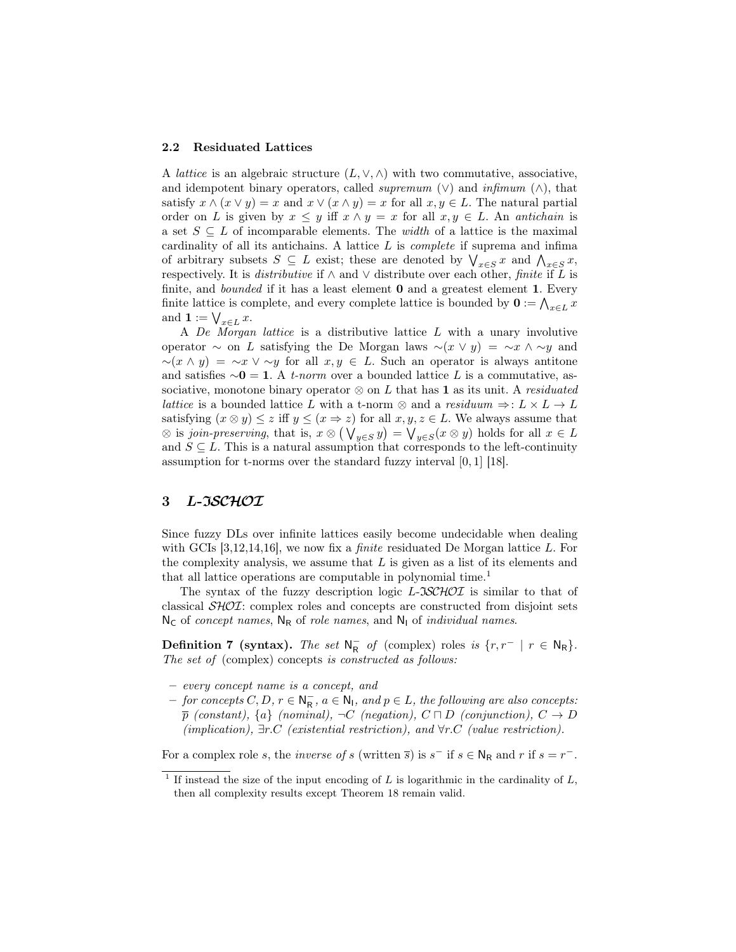#### 2.2 Residuated Lattices

A *lattice* is an algebraic structure  $(L, \vee, \wedge)$  with two commutative, associative, and idempotent binary operators, called *supremum*  $(\vee)$  and *infimum*  $(\wedge)$ , that satisfy  $x \wedge (x \vee y) = x$  and  $x \vee (x \wedge y) = x$  for all  $x, y \in L$ . The natural partial order on L is given by  $x \leq y$  iff  $x \wedge y = x$  for all  $x, y \in L$ . An antichain is a set  $S \subseteq L$  of incomparable elements. The *width* of a lattice is the maximal cardinality of all its antichains. A lattice  $L$  is *complete* if suprema and infima of arbitrary subsets  $S \subseteq L$  exist; these are denoted by  $\bigvee_{x \in S} x$  and  $\bigwedge_{x \in S} x$ , respectively. It is *distributive* if  $\wedge$  and  $\vee$  distribute over each other, *finite* if L is finite, and *bounded* if it has a least element **0** and a greatest element **1**. Every finite lattice is complete, and every complete lattice is bounded by  $\mathbf{0} := \bigwedge_{x \in L} x$ and  $\mathbf{1} := \bigvee_{x \in L} x$ .

A De Morgan lattice is a distributive lattice L with a unary involutive operator  $\sim$  on L satisfying the De Morgan laws  $\sim(x \vee y) = \sim x \wedge \sim y$  and  $\sim(x \wedge y) = \sim x \vee \sim y$  for all  $x, y \in L$ . Such an operator is always antitone and satisfies  $\sim 0 = 1$ . A *t-norm* over a bounded lattice L is a commutative, associative, monotone binary operator  $\otimes$  on L that has 1 as its unit. A residuated lattice is a bounded lattice L with a t-norm  $\otimes$  and a residuum  $\Rightarrow: L \times L \rightarrow L$ satisfying  $(x \otimes y) \leq z$  iff  $y \leq (x \Rightarrow z)$  for all  $x, y, z \in L$ . We always assume that  $\otimes$  is join-preserving, that is,  $x \otimes (\bigvee_{y \in S} y) = \bigvee_{y \in S} (x \otimes y)$  holds for all  $x \in L$ and  $S \subseteq L$ . This is a natural assumption that corresponds to the left-continuity assumption for t-norms over the standard fuzzy interval [0, 1] [18].

## 3 L-ISCHOI

Since fuzzy DLs over infinite lattices easily become undecidable when dealing with GCIs  $[3,12,14,16]$ , we now fix a *finite* residuated De Morgan lattice L. For the complexity analysis, we assume that  $L$  is given as a list of its elements and that all lattice operations are computable in polynomial time.<sup>1</sup>

The syntax of the fuzzy description logic  $L\text{-}3SCHOT$  is similar to that of classical SHOI: complex roles and concepts are constructed from disjoint sets  $N_c$  of concept names,  $N_R$  of role names, and  $N_l$  of individual names.

**Definition 7** (syntax). The set  $N_R^-$  of (complex) roles is  $\{r, r^- \mid r \in N_R\}$ . The set of (complex) concepts is constructed as follows:

- every concept name is a concept, and
- $-$  for concepts  $C, D, r \in \mathbb{N}_{\mathsf{R}}^-, a \in \mathbb{N}_1$ , and  $p \in L$ , the following are also concepts:  $\bar{p}$  (constant),  $\{a\}$  (nominal),  $\neg C$  (negation),  $C \sqcap D$  (conjunction),  $C \rightarrow D$ (implication),  $\exists r.C$  (existential restriction), and  $\forall r.C$  (value restriction).

For a complex role s, the *inverse of s* (written  $\overline{s}$ ) is  $s^-$  if  $s \in N_R$  and r if  $s = r^-$ .

<sup>&</sup>lt;sup>1</sup> If instead the size of the input encoding of L is logarithmic in the cardinality of L, then all complexity results except Theorem 18 remain valid.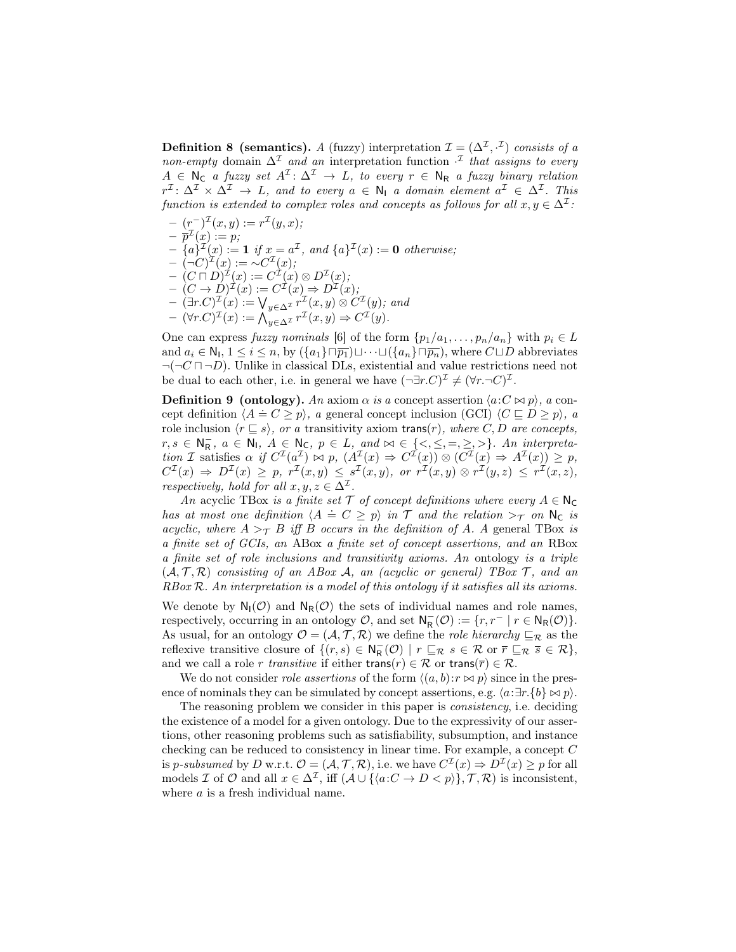**Definition 8** (semantics). A (fuzzy) interpretation  $\mathcal{I} = (\Delta^{\mathcal{I}}, \cdot^{\mathcal{I}})$  consists of a non-empty domain  $\Delta^{\mathcal{I}}$  and an interpretation function  $\cdot^{\mathcal{I}}$  that assigns to every  $A \in \mathbb{N}_C$  a fuzzy set  $A^{\mathcal{I}} \colon \Delta^{\mathcal{I}} \to L$ , to every  $r \in \mathbb{N}_R$  a fuzzy binary relation  $r^{\mathcal{I}}\colon \Delta^{\mathcal{I}} \times \Delta^{\mathcal{I}} \to L$ , and to every  $a \in \mathsf{N}_{\mathsf{I}}$  a domain element  $a^{\mathcal{I}} \in \Delta^{\mathcal{I}}$ . This function is extended to complex roles and concepts as follows for all  $x, y \in \Delta^{\mathcal{I}}$ :

$$
- (r^{-})^{\mathcal{I}}(x, y) := r^{\mathcal{I}}(y, x);
$$
  
\n
$$
- \overline{p}^{\mathcal{I}}(x) := p;
$$
  
\n
$$
- \{a\}^{\mathcal{I}}(x) := \mathbf{1} \text{ if } x = a^{\mathcal{I}}, \text{ and } \{a\}^{\mathcal{I}}(x) := \mathbf{0} \text{ otherwise};
$$
  
\n
$$
- (-C)^{\mathcal{I}}(x) := \sim C^{\mathcal{I}}(x);
$$
  
\n
$$
- (C \cap D)^{\mathcal{I}}(x) := C^{\mathcal{I}}(x) \otimes D^{\mathcal{I}}(x);
$$
  
\n
$$
- (C \rightarrow D)^{\mathcal{I}}(x) := C^{\mathcal{I}}(x) \Rightarrow D^{\mathcal{I}}(x);
$$
  
\n
$$
- (\exists r.C)^{\mathcal{I}}(x) := \bigvee_{y \in \Delta^{\mathcal{I}}} r^{\mathcal{I}}(x, y) \otimes C^{\mathcal{I}}(y); \text{ and }
$$
  
\n
$$
- (\forall r.C)^{\mathcal{I}}(x) := \bigwedge_{y \in \Delta^{\mathcal{I}}} r^{\mathcal{I}}(x, y) \Rightarrow C^{\mathcal{I}}(y).
$$

One can express fuzzy nominals [6] of the form  $\{p_1/a_1, \ldots, p_n/a_n\}$  with  $p_i \in L$ and  $a_i \in \mathsf{N}_1, 1 \leq i \leq n$ , by  $(\{a_1\} \sqcap \overline{p_1}) \sqcup \cdots \sqcup (\{a_n\} \sqcap \overline{p_n})$ , where  $C \sqcup D$  abbreviates  $\neg(\neg C \sqcap \neg D)$ . Unlike in classical DLs, existential and value restrictions need not be dual to each other, i.e. in general we have  $(\neg \exists r.C)^{\mathcal{I}} \neq (\forall r.\neg C)^{\mathcal{I}}$ .

**Definition 9 (ontology).** An axiom  $\alpha$  is a concept assertion  $\langle a:C \bowtie p \rangle$ , a con-**Definition 5** (choology). The axiom a is a concept assertion  $\langle a \in \mathbb{R} p \rangle$ , a concept definition  $\langle A \doteq C \geq p \rangle$ , a general concept inclusion  $(GCI)$   $\langle C \sqsubseteq D \geq p \rangle$ , a role inclusion  $\langle r \subseteq s \rangle$ , or a transitivity axiom trans(r), where C, D are concepts,  $r, s \in \mathbb{N}_{\mathsf{R}}$ ,  $a \in \mathbb{N}_{\mathsf{I}}$ ,  $A \in \mathbb{N}_{\mathsf{C}}$ ,  $p \in L$ , and  $\bowtie \in \{\langle \leq, \leq, =, \geq, \rangle\}$ . An interpretation I satisfies  $\alpha$  if  $C^{I}(a^{I}) \bowtie p$ ,  $(A^{I}(x) \Rightarrow C^{I}(x)) \otimes (C^{I}(x) \Rightarrow A^{I}(x)) \geq p$ ,  $C^{\mathcal{I}}(x) \Rightarrow D^{\mathcal{I}}(x) \geq p, r^{\mathcal{I}}(x,y) \leq s^{\mathcal{I}}(x,y), \text{ or } r^{\mathcal{I}}(x,y) \otimes r^{\mathcal{I}}(y,z) \leq r^{\mathcal{I}}(x,z),$ respectively, hold for all  $x, y, z \in \Delta^{\mathcal{I}}$ .

An acyclic TBox is a finite set  $\mathcal T$  of concept definitions where every  $A \in \mathbb N_{\mathbb C}$ has at most one definition  $\langle A \doteq C \geq p \rangle$  in  $\mathcal T$  and the relation  $>\tau$  on  $\mathsf{N}_{\mathsf{C}}$  is acyclic, where  $A >_{\mathcal{T}} B$  iff B occurs in the definition of A. A general TBox is a finite set of GCIs, an ABox a finite set of concept assertions, and an RBox a finite set of role inclusions and transitivity axioms. An ontology is a triple  $(A, \mathcal{T}, \mathcal{R})$  consisting of an ABox A, an (acyclic or general) TBox  $\mathcal{T}$ , and an  $RBox \mathcal{R}$ . An interpretation is a model of this ontology if it satisfies all its axioms.

We denote by  $N_I(\mathcal{O})$  and  $N_R(\mathcal{O})$  the sets of individual names and role names, respectively, occurring in an ontology  $\mathcal{O}$ , and set  $\mathsf{N}_{\mathsf{R}}^{-}(\mathcal{O}) := \{r, r^{-} | r \in \mathsf{N}_{\mathsf{R}}(\mathcal{O})\}.$ As usual, for an ontology  $\mathcal{O} = (\mathcal{A}, \mathcal{T}, \mathcal{R})$  we define the *role hierarchy*  $\sqsubseteq_{\mathcal{R}}$  as the reflexive transitive closure of  $\{(r,s) \in \mathsf{N}_{\mathsf{R}}^-(\mathcal{O}) \mid r \sqsubseteq_{\mathcal{R}} s \in \mathcal{R} \text{ or } \overline{r} \sqsubseteq_{\mathcal{R}} \overline{s} \in \mathcal{R}\},\$ and we call a role r transitive if either trans(r)  $\in \mathcal{R}$  or trans( $\overline{r}$ )  $\in \mathcal{R}$ .

We do not consider *role assertions* of the form  $\langle (a, b):r \bowtie p \rangle$  since in the presence of nominals they can be simulated by concept assertions, e.g.  $\langle a:\exists r.\{b\} \bowtie p \rangle$ .

The reasoning problem we consider in this paper is consistency, i.e. deciding the existence of a model for a given ontology. Due to the expressivity of our assertions, other reasoning problems such as satisfiability, subsumption, and instance checking can be reduced to consistency in linear time. For example, a concept C is p-subsumed by D w.r.t.  $\mathcal{O} = (\mathcal{A}, \mathcal{T}, \mathcal{R})$ , i.e. we have  $C^{\mathcal{I}}(x) \Rightarrow D^{\mathcal{I}}(x) \geq p$  for all models *I* of  $\mathcal O$  and all  $x \in \Delta^{\mathcal I}$ , iff  $(\mathcal A \cup \{\langle a:C \to D < p \rangle\}, \mathcal T, \mathcal R)$  is inconsistent, where a is a fresh individual name.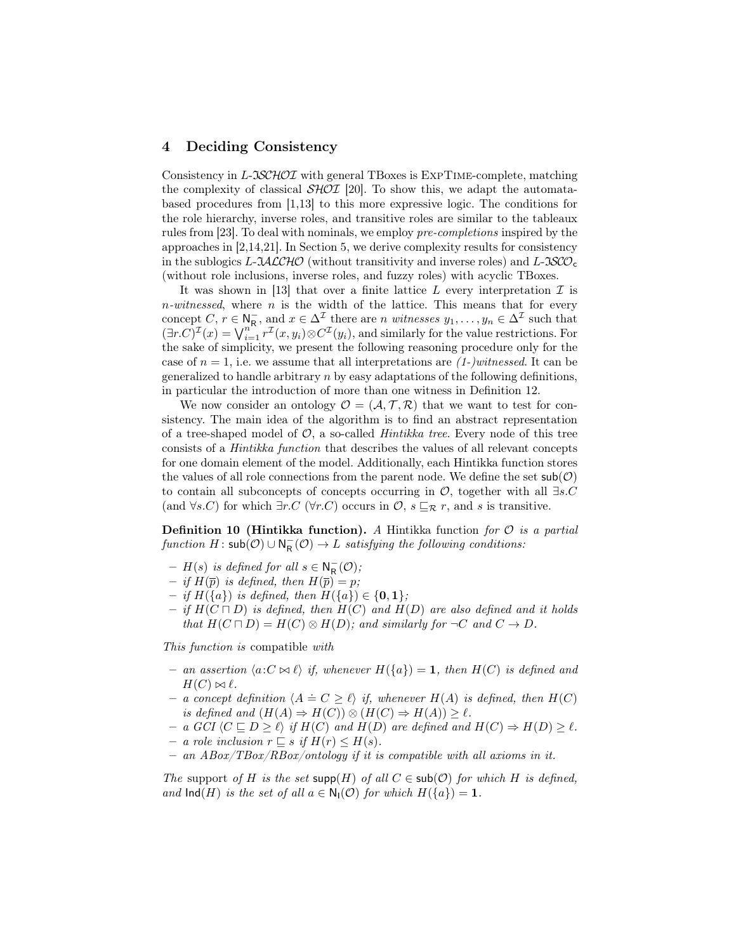### 4 Deciding Consistency

Consistency in L-JSCHOI with general TBoxes is EXPTIME-complete, matching the complexity of classical  $\mathcal{SHOL}$  [20]. To show this, we adapt the automatabased procedures from [1,13] to this more expressive logic. The conditions for the role hierarchy, inverse roles, and transitive roles are similar to the tableaux rules from [23]. To deal with nominals, we employ pre-completions inspired by the approaches in [2,14,21]. In Section 5, we derive complexity results for consistency in the sublogics L-JACCHO (without transitivity and inverse roles) and L-JSCO<sub>c</sub> (without role inclusions, inverse roles, and fuzzy roles) with acyclic TBoxes.

It was shown in [13] that over a finite lattice  $L$  every interpretation  $\mathcal I$  is  $n\text{-}witnessed$ , where  $n$  is the width of the lattice. This means that for every concept C,  $r \in N_R^-$ , and  $x \in \Delta^{\mathcal{I}}$  there are n witnesses  $y_1, \ldots, y_n \in \Delta^{\mathcal{I}}$  such that  $(\exists r.C)^{\mathcal{I}}(x) = \bigvee_{i=1}^{n} r^{\mathcal{I}}(x, y_i) \otimes C^{\mathcal{I}}(y_i)$ , and similarly for the value restrictions. For the sake of simplicity, we present the following reasoning procedure only for the case of  $n = 1$ , i.e. we assume that all interpretations are  $(1-)witnessed$ . It can be generalized to handle arbitrary  $n$  by easy adaptations of the following definitions, in particular the introduction of more than one witness in Definition 12.

We now consider an ontology  $\mathcal{O} = (\mathcal{A}, \mathcal{T}, \mathcal{R})$  that we want to test for consistency. The main idea of the algorithm is to find an abstract representation of a tree-shaped model of  $\mathcal{O}$ , a so-called *Hintikka tree*. Every node of this tree consists of a Hintikka function that describes the values of all relevant concepts for one domain element of the model. Additionally, each Hintikka function stores the values of all role connections from the parent node. We define the set  $\mathsf{sub}(\mathcal{O})$ to contain all subconcepts of concepts occurring in  $\mathcal{O}$ , together with all  $\exists s.C$ (and  $\forall s.C$ ) for which  $\exists r.C$  ( $\forall r.C$ ) occurs in  $\mathcal{O}, s \sqsubseteq_{\mathcal{R}} r$ , and s is transitive.

**Definition 10 (Hintikka function).** A Hintikka function for  $\mathcal{O}$  is a partial  $function H : sub(\mathcal{O}) \cup \mathsf{N}_{\mathsf{R}}^-(\mathcal{O}) \rightarrow L$  satisfying the following conditions:

- $H(s)$  is defined for all  $s \in N_R^-(\mathcal{O})$ ;
- if  $H(\overline{p})$  is defined, then  $H(\overline{p}) = p$ ;
- if H({a}) is defined, then H({a}) ∈ {0, 1};
- if  $H(C \sqcap D)$  is defined, then  $H(C)$  and  $H(D)$  are also defined and it holds that  $H(C \sqcap D) = H(C) \otimes H(D)$ ; and similarly for  $\neg C$  and  $C \rightarrow D$ .

This function is compatible with

- an assertion  $\langle a:C \bowtie \ell \rangle$  if, whenever  $H(\lbrace a \rbrace) = 1$ , then  $H(C)$  is defined and  $H(C) \bowtie \ell$ .
- $A = a$  concept definition  $\langle A \doteq C \geq \ell \rangle$  if, whenever  $H(A)$  is defined, then  $H(C)$ is defined and  $(H(A) \Rightarrow H(C)) \otimes (H(C) \Rightarrow H(A)) \geq \ell$ .
- a GCI  $\langle C \sqsubseteq D \ge \ell \rangle$  if  $H(C)$  and  $H(D)$  are defined and  $H(C) \Rightarrow H(D) \ge \ell$ .
- a role inclusion  $r \subseteq s$  if  $H(r) \leq H(s)$ .
- $-$  an  $ABox/TBox/RBox/ontology$  if it is compatible with all axioms in it.

The support of H is the set  $\text{supp}(H)$  of all  $C \in \text{sub}(\mathcal{O})$  for which H is defined, and  $\text{Ind}(H)$  is the set of all  $a \in N_1(\mathcal{O})$  for which  $H({a}) = 1$ .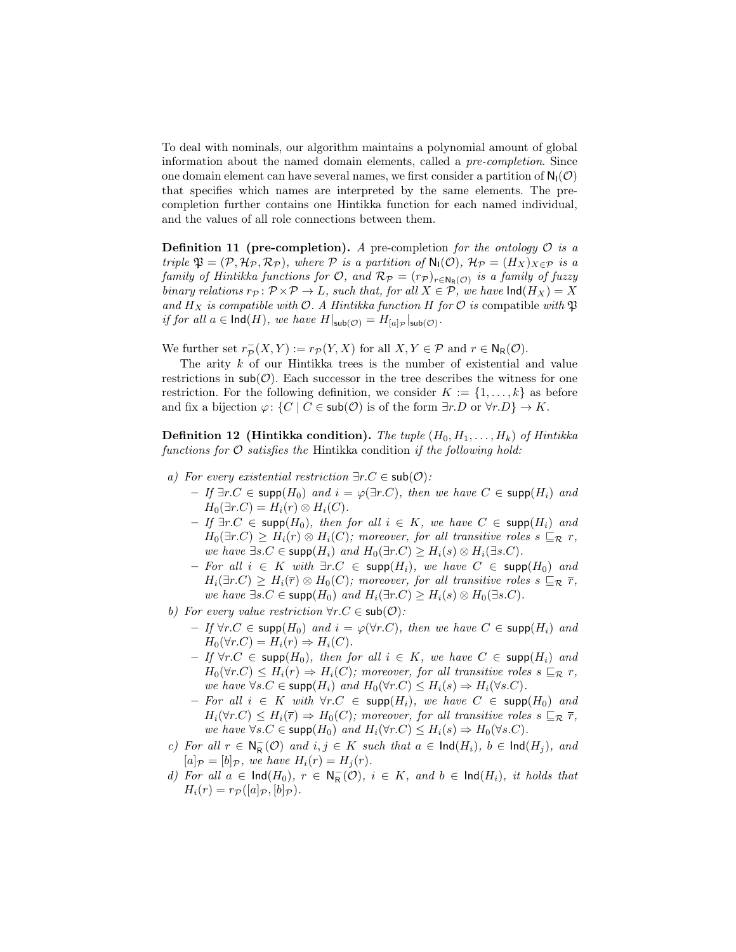To deal with nominals, our algorithm maintains a polynomial amount of global information about the named domain elements, called a pre-completion. Since one domain element can have several names, we first consider a partition of  $N_1(\mathcal{O})$ that specifies which names are interpreted by the same elements. The precompletion further contains one Hintikka function for each named individual, and the values of all role connections between them.

**Definition 11 (pre-completion).** A pre-completion for the ontology  $\mathcal{O}$  is a triple  $\mathfrak{P} = (\mathcal{P}, \mathcal{H}_{\mathcal{P}}, \mathcal{R}_{\mathcal{P}})$ , where  $\mathcal P$  is a partition of  $\mathsf{N}_{\mathsf{I}}(\mathcal{O}), \mathcal{H}_{\mathcal{P}} = (H_X)_{X \in \mathcal{P}}$  is a family of Hintikka functions for  $\mathcal{O}$ , and  $\mathcal{R}_{\mathcal{P}} = (r_{\mathcal{P}})_{r \in \mathsf{N}_{\mathsf{R}}(\mathcal{O})}$  is a family of fuzzy binary relations  $r_{\mathcal{P}} : \mathcal{P} \times \mathcal{P} \to L$ , such that, for all  $X \in \mathcal{P}$ , we have  $\text{Ind}(H_X) = X$ and  $H_X$  is compatible with  $\mathcal O$ . A Hintikka function H for  $\mathcal O$  is compatible with  $\mathfrak P$ if for all  $a \in \text{Ind}(H)$ , we have  $H|_{\text{sub}(\mathcal{O})} = H_{[a]_{\mathcal{P}}} |_{\text{sub}(\mathcal{O})}$ .

We further set  $r_{\mathcal{P}}^-(X,Y) := r_{\mathcal{P}}(Y,X)$  for all  $X, Y \in \mathcal{P}$  and  $r \in N_{\mathsf{R}}(\mathcal{O})$ .

The arity k of our Hintikka trees is the number of existential and value restrictions in  $\mathsf{sub}(\mathcal{O})$ . Each successor in the tree describes the witness for one restriction. For the following definition, we consider  $K := \{1, \ldots, k\}$  as before and fix a bijection  $\varphi: \{C \mid C \in \mathsf{sub}(\mathcal{O}) \text{ is of the form } \exists r.D \text{ or } \forall r.D\} \to K.$ 

**Definition 12 (Hintikka condition).** The tuple  $(H_0, H_1, \ldots, H_k)$  of Hintikka functions for  $\mathcal O$  satisfies the Hintikka condition if the following hold:

- a) For every existential restriction  $\exists r.C \in sub(\mathcal{O})$ :
	- $If \exists r.C \in \mathsf{supp}(H_0) \text{ and } i = \varphi(\exists r.C), \text{ then we have } C \in \mathsf{supp}(H_i) \text{ and }$  $H_0(\exists r.C) = H_i(r) \otimes H_i(C).$
	- $-If \exists r.C \in \mathsf{supp}(H_0)$ , then for all  $i \in K$ , we have  $C \in \mathsf{supp}(H_i)$  and  $H_0(\exists r.C) \geq H_i(r) \otimes H_i(C)$ ; moreover, for all transitive roles  $s \sqsubseteq_{\mathcal{R}} r$ , we have  $\exists s.C \in \text{supp}(H_i)$  and  $H_0(\exists r.C) \geq H_i(s) \otimes H_i(\exists s.C)$ .
	- For all  $i \in K$  with  $\exists r.C \in \text{supp}(H_i)$ , we have  $C \in \text{supp}(H_0)$  and  $H_i(\exists r.C) \geq H_i(\overline{r}) \otimes H_0(C)$ ; moreover, for all transitive roles  $s \sqsubseteq_{\mathcal{R}} \overline{r}$ , we have  $\exists s.C \in \text{supp}(H_0)$  and  $H_i(\exists r.C) \geq H_i(s) \otimes H_0(\exists s.C)$ .
- b) For every value restriction  $\forall r.C \in \mathsf{sub}(\mathcal{O})$ :
	- $-$  If  $\forall r$ .C ∈ supp $(H_0)$  and  $i = \varphi(\forall r$ .C), then we have  $C \in \mathsf{supp}(H_i)$  and  $H_0(\forall r.C) = H_i(r) \Rightarrow H_i(C).$
	- $-$  If  $\forall r$ .  $C \in \text{supp}(H_0)$ , then for all  $i \in K$ , we have  $C \in \text{supp}(H_i)$  and  $H_0(\forall r.C) \leq H_i(r) \Rightarrow H_i(C)$ ; moreover, for all transitive roles  $s \sqsubseteq_{\mathcal{R}} r$ , we have  $\forall s.C \in \text{supp}(H_i)$  and  $H_0(\forall r.C) \leq H_i(s) \Rightarrow H_i(\forall s.C)$ .
	- For all  $i \in K$  with  $\forall r.C \in \text{supp}(H_i)$ , we have  $C \in \text{supp}(H_0)$  and  $H_i(\forall r.C) \leq H_i(\overline{r}) \Rightarrow H_0(C)$ ; moreover, for all transitive roles  $s \sqsubseteq_{\mathcal{R}} \overline{r}$ , we have  $\forall s.C \in \text{supp}(H_0)$  and  $H_i(\forall r.C) \leq H_i(s) \Rightarrow H_0(\forall s.C)$ .
- c) For all  $r \in N_R^-(\mathcal{O})$  and  $i, j \in K$  such that  $a \in \text{Ind}(H_i)$ ,  $b \in \text{Ind}(H_j)$ , and  $[a]_{\mathcal{P}} = [b]_{\mathcal{P}}$ , we have  $H_i(r) = H_j(r)$ .
- d) For all  $a \in \text{Ind}(H_0)$ ,  $r \in \mathsf{N}_{\mathsf{R}}^-(\mathcal{O})$ ,  $i \in K$ , and  $b \in \text{Ind}(H_i)$ , it holds that  $H_i(r) = r_{\mathcal{P}}([a]_{\mathcal{P}}, [b]_{\mathcal{P}}).$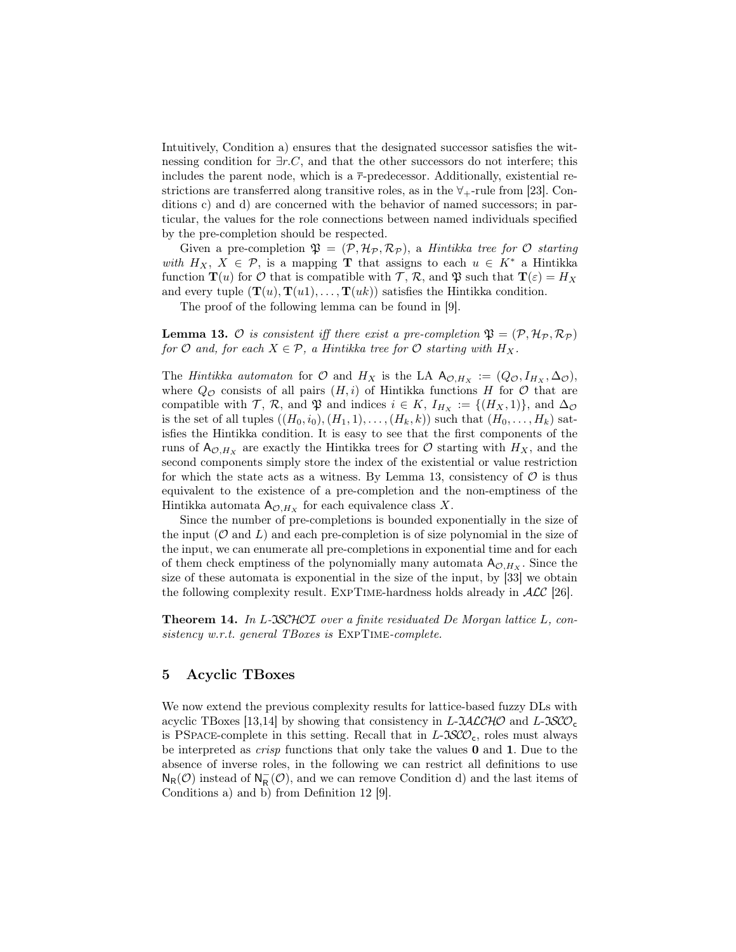Intuitively, Condition a) ensures that the designated successor satisfies the witnessing condition for  $\exists r.C$ , and that the other successors do not interfere; this includes the parent node, which is a  $\bar{r}$ -predecessor. Additionally, existential restrictions are transferred along transitive roles, as in the  $\forall$ <sub>+</sub>-rule from [23]. Conditions c) and d) are concerned with the behavior of named successors; in particular, the values for the role connections between named individuals specified by the pre-completion should be respected.

Given a pre-completion  $\mathfrak{P} = (\mathcal{P}, \mathcal{H}_{\mathcal{P}}, \mathcal{R}_{\mathcal{P}})$ , a *Hintikka tree for*  $\mathcal{O}$  *starting* with  $H_X$ ,  $X \in \mathcal{P}$ , is a mapping T that assigns to each  $u \in K^*$  a Hintikka function  $\mathbf{T}(u)$  for  $\mathcal O$  that is compatible with  $\mathcal T, \mathcal R$ , and  $\mathfrak P$  such that  $\mathbf{T}(\varepsilon) = H_X$ and every tuple  $(\mathbf{T}(u), \mathbf{T}(u1), \dots, \mathbf{T}(uk))$  satisfies the Hintikka condition.

The proof of the following lemma can be found in [9].

**Lemma 13.**  $\mathcal O$  is consistent iff there exist a pre-completion  $\mathfrak P = (\mathcal P, \mathcal H_{\mathcal P}, \mathcal R_{\mathcal P})$ for  $\mathcal O$  and, for each  $X \in \mathcal P$ , a Hintikka tree for  $\mathcal O$  starting with  $H_X$ .

The Hintikka automaton for  $\mathcal O$  and  $H_X$  is the LA  $A_{\mathcal O,H_X} := (Q_{\mathcal O}, I_{H_X}, \Delta_{\mathcal O}),$ where  $Q_{\mathcal{O}}$  consists of all pairs  $(H, i)$  of Hintikka functions H for  $\mathcal{O}$  that are compatible with  $\mathcal{T}, \mathcal{R}$ , and  $\mathfrak{P}$  and indices  $i \in K$ ,  $I_{H_X} := \{(H_X, 1)\}\)$ , and  $\Delta_{\mathcal{O}}$ is the set of all tuples  $((H_0, i_0), (H_1, 1), \ldots, (H_k, k))$  such that  $(H_0, \ldots, H_k)$  satisfies the Hintikka condition. It is easy to see that the first components of the runs of  $A_{\mathcal{O},H_X}$  are exactly the Hintikka trees for  $\mathcal O$  starting with  $H_X$ , and the second components simply store the index of the existential or value restriction for which the state acts as a witness. By Lemma 13, consistency of  $\mathcal O$  is thus equivalent to the existence of a pre-completion and the non-emptiness of the Hintikka automata  $A_{\mathcal{O},H_X}$  for each equivalence class X.

Since the number of pre-completions is bounded exponentially in the size of the input  $(\mathcal{O}$  and  $L)$  and each pre-completion is of size polynomial in the size of the input, we can enumerate all pre-completions in exponential time and for each of them check emptiness of the polynomially many automata  $A_{\mathcal{O},H_X}$ . Since the size of these automata is exponential in the size of the input, by [33] we obtain the following complexity result. EXPTIME-hardness holds already in  $\mathcal{ALC}$  [26].

Theorem 14. In L-ISCHOI over a finite residuated De Morgan lattice L, consistency w.r.t. general TBoxes is EXPTIME-complete.

### 5 Acyclic TBoxes

We now extend the previous complexity results for lattice-based fuzzy DLs with acyclic TBoxes [13,14] by showing that consistency in  $L\text{-}JALCHO$  and  $L\text{-}JSCO<sub>c</sub>$ is PSPACE-complete in this setting. Recall that in  $L$ - $\mathcal{SCO}_c$ , roles must always be interpreted as crisp functions that only take the values 0 and 1. Due to the absence of inverse roles, in the following we can restrict all definitions to use  $N_R(\mathcal{O})$  instead of  $N_R^-(\mathcal{O})$ , and we can remove Condition d) and the last items of Conditions a) and b) from Definition 12 [9].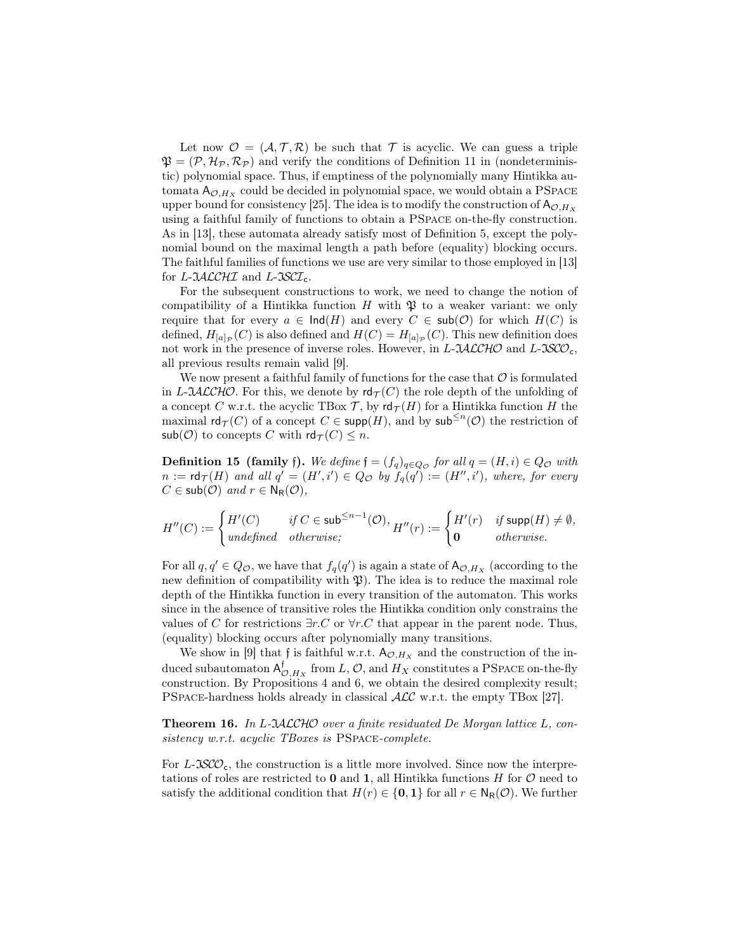Let now  $\mathcal{O} = (\mathcal{A}, \mathcal{T}, \mathcal{R})$  be such that T is acyclic. We can guess a triple  $\mathfrak{P} = (\mathcal{P}, \mathcal{H}_{\mathcal{P}}, \mathcal{R}_{\mathcal{P}})$  and verify the conditions of Definition 11 in (nondeterministic) polynomial space. Thus, if emptiness of the polynomially many Hintikka automata  $A_{\mathcal{O},H_X}$  could be decided in polynomial space, we would obtain a PSPACE upper bound for consistency [25]. The idea is to modify the construction of  $A_{\mathcal{O},H_X}$ using a faithful family of functions to obtain a PSpace on-the-fly construction. As in [13], these automata already satisfy most of Definition 5, except the polynomial bound on the maximal length a path before (equality) blocking occurs. The faithful families of functions we use are very similar to those employed in [13] for  $L$ - $\mathcal{I}\mathcal{A}\mathcal{L}\mathcal{C}\mathcal{H}\mathcal{I}$  and  $L$ - $\mathcal{I}\mathcal{S}\mathcal{C}\mathcal{I}_{c}$ .

For the subsequent constructions to work, we need to change the notion of compatibility of a Hintikka function  $H$  with  $\mathfrak B$  to a weaker variant: we only require that for every  $a \in \text{Ind}(H)$  and every  $C \in \text{sub}(\mathcal{O})$  for which  $H(C)$  is defined,  $H_{[a]_{\mathcal{P}}}(C)$  is also defined and  $H(C) = H_{[a]_{\mathcal{P}}}(C)$ . This new definition does not work in the presence of inverse roles. However, in L- $JALCHO$  and L- $JSCO<sub>c</sub>$ , all previous results remain valid [9].

We now present a faithful family of functions for the case that  $\mathcal O$  is formulated in L-JACCHO. For this, we denote by  $\mathsf{rd}_{\mathcal{T}}(C)$  the role depth of the unfolding of a concept C w.r.t. the acyclic TBox  $\mathcal T$ , by  $\mathsf{rd}_{\mathcal T}(H)$  for a Hintikka function H the maximal  $\text{rd}_{\mathcal{T}}(C)$  of a concept  $C \in \text{supp}(H)$ , and by  $\text{sub}^{\leq n}(\mathcal{O})$  the restriction of  $\mathsf{sub}(\mathcal{O})$  to concepts C with  $\mathsf{rd}_{\mathcal{T}}(C) \leq n$ .

**Definition 15 (family f).** We define  $f = (f_q)_{q \in Q_\mathcal{O}}$  for all  $q = (H, i) \in Q_\mathcal{O}$  with  $n := \mathsf{rd}_{\mathcal{T}}(H)$  and all  $q' = (H', i') \in Q_{\mathcal{O}}$  by  $f_q(q') := (H'', i')$ , where, for every  $C \in sub(\mathcal{O})$  and  $r \in N_R(\mathcal{O}),$ 

$$
H''(C):=\begin{cases}H'(C) & \text{ if } C\in\mathsf{sub}^{\leq n-1}(\mathcal{O}),\\ \text{undefined} & \text{ otherwise}; \end{cases} H''(r):=\begin{cases}H'(r) & \text{ if }\mathsf{supp}(H)\neq\emptyset,\\ \mathbf{0} & \text{ otherwise}. \end{cases}
$$

For all  $q, q' \in Q_{\mathcal{O}}$ , we have that  $f_q(q')$  is again a state of  $A_{\mathcal{O},H_X}$  (according to the new definition of compatibility with  $\mathfrak{P}$ ). The idea is to reduce the maximal role depth of the Hintikka function in every transition of the automaton. This works since in the absence of transitive roles the Hintikka condition only constrains the values of C for restrictions  $\exists r.C$  or  $\forall r.C$  that appear in the parent node. Thus, (equality) blocking occurs after polynomially many transitions.

We show in [9] that f is faithful w.r.t.  $A_{\mathcal{O},H_X}$  and the construction of the induced subautomaton  $\mathsf{A}^\mathsf{f}_{\mathcal{O},H_X}$  from  $L,\mathcal{O},$  and  $H_X$  constitutes a PSPACE on-the-fly construction. By Propositions 4 and 6, we obtain the desired complexity result; PSpace-hardness holds already in classical ALC w.r.t. the empty TBox [27].

**Theorem 16.** In L-JACCHO over a finite residuated De Morgan lattice L, consistency w.r.t. acyclic TBoxes is PSPACE-complete.

For  $L$ - $\mathfrak{SCO}_{c}$ , the construction is a little more involved. Since now the interpretations of roles are restricted to  $\mathbf 0$  and  $\mathbf 1$ , all Hintikka functions H for  $\mathcal O$  need to satisfy the additional condition that  $H(r) \in \{0, 1\}$  for all  $r \in N_R(\mathcal{O})$ . We further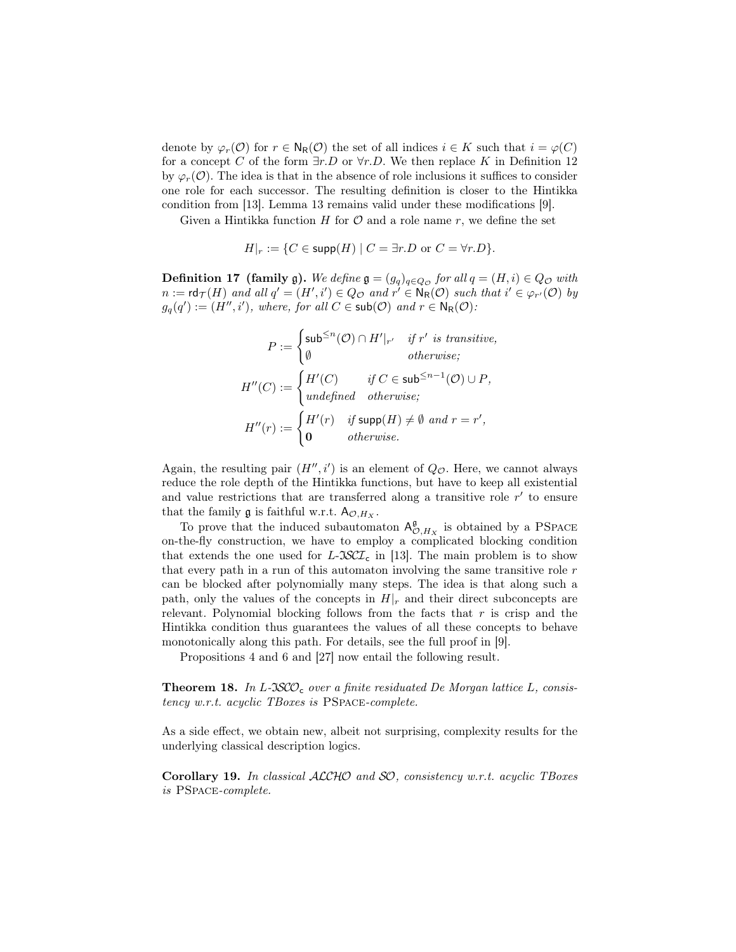denote by  $\varphi_r(\mathcal{O})$  for  $r \in N_R(\mathcal{O})$  the set of all indices  $i \in K$  such that  $i = \varphi(C)$ for a concept C of the form  $\exists r.D$  or  $\forall r.D$ . We then replace K in Definition 12 by  $\varphi_r(\mathcal{O})$ . The idea is that in the absence of role inclusions it suffices to consider one role for each successor. The resulting definition is closer to the Hintikka condition from [13]. Lemma 13 remains valid under these modifications [9].

Given a Hintikka function  $H$  for  $\mathcal O$  and a role name  $r$ , we define the set

$$
H|_r := \{ C \in \mathsf{supp}(H) \mid C = \exists r.D \text{ or } C = \forall r.D \}.
$$

**Definition 17 (family g).** We define  $\mathfrak{g} = (g_q)_{q \in Q_\mathcal{O}}$  for all  $q = (H, i) \in Q_\mathcal{O}$  with  $n := \textsf{rd}_{\mathcal{T}}(H)$  and all  $q' = (H', i') \in Q_{\mathcal{O}}$  and  $r' \in \mathsf{N}_{\mathsf{R}}(\mathcal{O})$  such that  $i' \in \varphi_{r'}(\mathcal{O})$  by  $g_q(q') := (H'', i')$ , where, for all  $C \in \mathsf{sub}(\mathcal{O})$  and  $r \in \mathsf{N}_{\mathsf{R}}(\mathcal{O})$ :

$$
P := \begin{cases} \text{sub}^{\leq n}(\mathcal{O}) \cap H'|_{r'} & \text{if } r' \text{ is transitive,} \\ \emptyset & \text{otherwise;} \end{cases}
$$

$$
H''(C) := \begin{cases} H'(C) & \text{if } C \in \text{sub}^{\leq n-1}(\mathcal{O}) \cup P, \\ \text{undefined} & \text{otherwise;} \end{cases}
$$

$$
H''(r) := \begin{cases} H'(r) & \text{if } \text{supp}(H) \neq \emptyset \text{ and } r = r', \\ 0 & \text{otherwise.} \end{cases}
$$

Again, the resulting pair  $(H'', i')$  is an element of  $Q_{\mathcal{O}}$ . Here, we cannot always reduce the role depth of the Hintikka functions, but have to keep all existential and value restrictions that are transferred along a transitive role  $r'$  to ensure that the family  $\mathfrak g$  is faithful w.r.t.  $A_{\mathcal{O},H_X}$ .

To prove that the induced subautomaton  $A_{\mathcal{O},H_X}^{\mathfrak{g}}$  is obtained by a PSPACE on-the-fly construction, we have to employ a complicated blocking condition that extends the one used for  $L\text{-}S\text{CL}_c$  in [13]. The main problem is to show that every path in a run of this automaton involving the same transitive role  $r$ can be blocked after polynomially many steps. The idea is that along such a path, only the values of the concepts in  $H|_r$  and their direct subconcepts are relevant. Polynomial blocking follows from the facts that  $r$  is crisp and the Hintikka condition thus guarantees the values of all these concepts to behave monotonically along this path. For details, see the full proof in [9].

Propositions 4 and 6 and [27] now entail the following result.

**Theorem 18.** In L-JSCO<sub>c</sub> over a finite residuated De Morgan lattice L, consistency w.r.t. acyclic TBoxes is PSpace-complete.

As a side effect, we obtain new, albeit not surprising, complexity results for the underlying classical description logics.

Corollary 19. In classical ALCHO and SO, consistency w.r.t. acyclic TBoxes is PSpace-complete.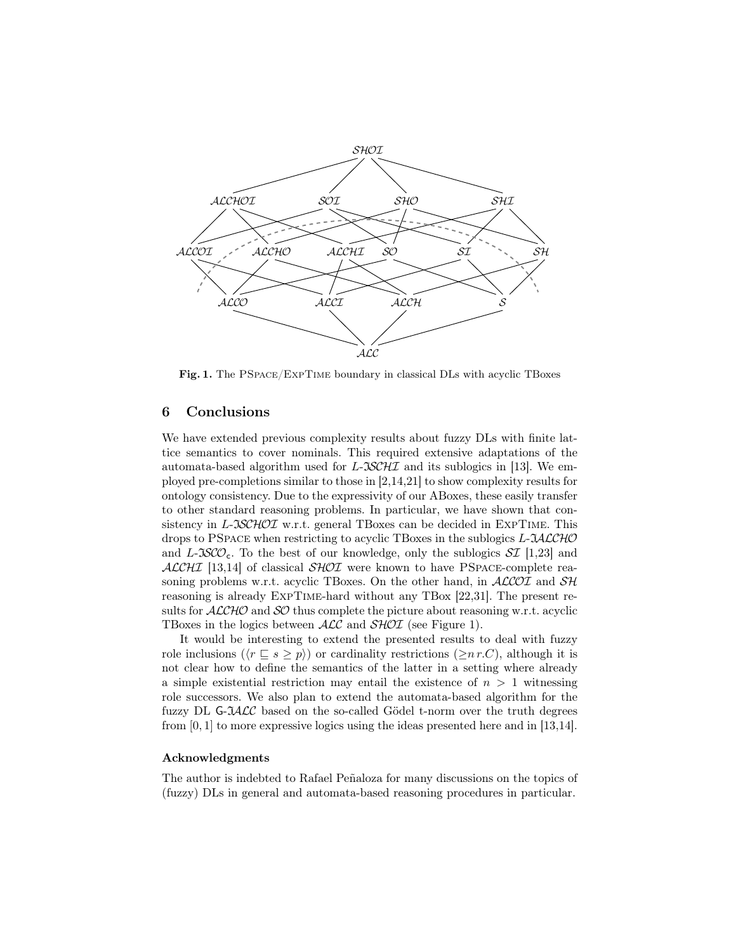

Fig. 1. The PSpace/ExpTime boundary in classical DLs with acyclic TBoxes

#### 6 Conclusions

We have extended previous complexity results about fuzzy DLs with finite lattice semantics to cover nominals. This required extensive adaptations of the automata-based algorithm used for L- $\mathcal{ISCHI}$  and its sublogics in [13]. We employed pre-completions similar to those in [2,14,21] to show complexity results for ontology consistency. Due to the expressivity of our ABoxes, these easily transfer to other standard reasoning problems. In particular, we have shown that consistency in L- $\Im\mathcal{SCHOL}$  w.r.t. general TBoxes can be decided in EXPTIME. This drops to PSPACE when restricting to acyclic TBoxes in the sublogics  $L\text{-}\mathcal{U}\mathcal{LCHO}$ and L-JSCO<sub>c</sub>. To the best of our knowledge, only the sublogics  $\mathcal{SI}$  [1,23] and  $ALCHI$  [13,14] of classical  $SHOT$  were known to have PSPACE-complete reasoning problems w.r.t. acyclic TBoxes. On the other hand, in  $ALCOI$  and  $SH$ reasoning is already ExpTime-hard without any TBox [22,31]. The present results for  $ALCHO$  and  $SO$  thus complete the picture about reasoning w.r.t. acyclic TBoxes in the logics between  $\text{ALC}$  and  $\text{SHOT}$  (see Figure 1).

It would be interesting to extend the presented results to deal with fuzzy role inclusions ( $\langle r \sqsubseteq s \geq p \rangle$ ) or cardinality restrictions ( $\geq n r.C$ ), although it is not clear how to define the semantics of the latter in a setting where already a simple existential restriction may entail the existence of  $n > 1$  witnessing role successors. We also plan to extend the automata-based algorithm for the fuzzy DL  $G$ - $\mathcal{HLC}$  based on the so-called Gödel t-norm over the truth degrees from [0, 1] to more expressive logics using the ideas presented here and in [13,14].

#### Acknowledgments

The author is indebted to Rafael Peñaloza for many discussions on the topics of (fuzzy) DLs in general and automata-based reasoning procedures in particular.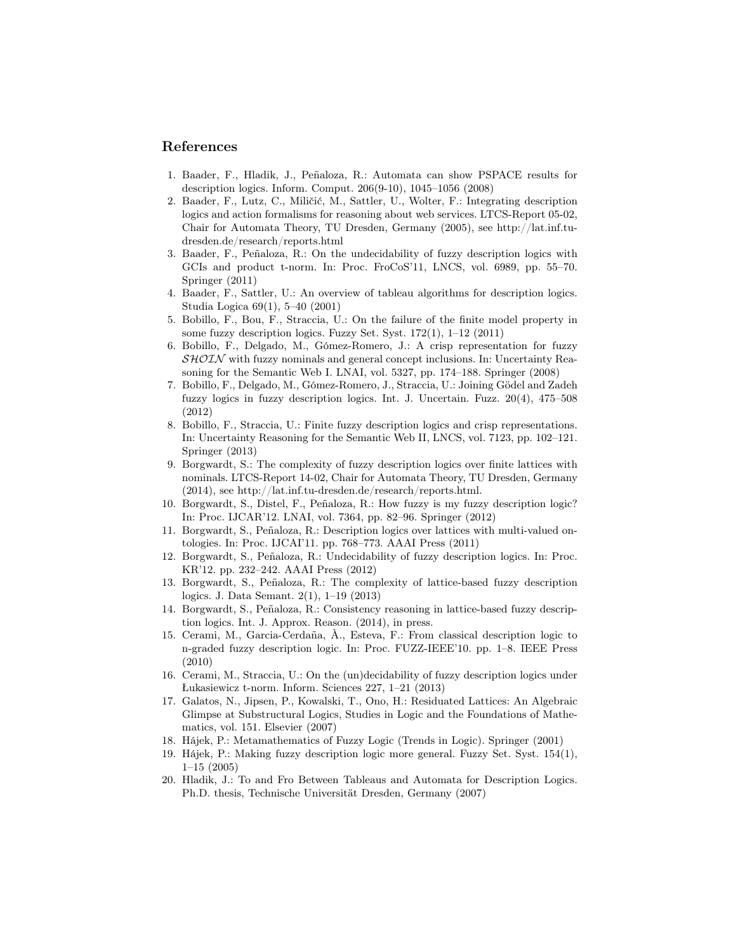### References

- 1. Baader, F., Hladik, J., Peñaloza, R.: Automata can show PSPACE results for description logics. Inform. Comput. 206(9-10), 1045–1056 (2008)
- 2. Baader, F., Lutz, C., Miličić, M., Sattler, U., Wolter, F.: Integrating description logics and action formalisms for reasoning about web services. LTCS-Report 05-02, Chair for Automata Theory, TU Dresden, Germany (2005), see http://lat.inf.tudresden.de/research/reports.html
- 3. Baader, F., Peñaloza, R.: On the undecidability of fuzzy description logics with GCIs and product t-norm. In: Proc. FroCoS'11, LNCS, vol. 6989, pp. 55–70. Springer (2011)
- 4. Baader, F., Sattler, U.: An overview of tableau algorithms for description logics. Studia Logica 69(1), 5–40 (2001)
- 5. Bobillo, F., Bou, F., Straccia, U.: On the failure of the finite model property in some fuzzy description logics. Fuzzy Set. Syst. 172(1), 1–12 (2011)
- 6. Bobillo, F., Delgado, M., Gómez-Romero, J.: A crisp representation for fuzzy  $\mathcal{SHOLN}$  with fuzzy nominals and general concept inclusions. In: Uncertainty Reasoning for the Semantic Web I. LNAI, vol. 5327, pp. 174–188. Springer (2008)
- 7. Bobillo, F., Delgado, M., Gómez-Romero, J., Straccia, U.: Joining Gödel and Zadeh fuzzy logics in fuzzy description logics. Int. J. Uncertain. Fuzz. 20(4), 475–508 (2012)
- 8. Bobillo, F., Straccia, U.: Finite fuzzy description logics and crisp representations. In: Uncertainty Reasoning for the Semantic Web II, LNCS, vol. 7123, pp. 102–121. Springer (2013)
- 9. Borgwardt, S.: The complexity of fuzzy description logics over finite lattices with nominals. LTCS-Report 14-02, Chair for Automata Theory, TU Dresden, Germany (2014), see http://lat.inf.tu-dresden.de/research/reports.html.
- 10. Borgwardt, S., Distel, F., Peñaloza, R.: How fuzzy is my fuzzy description logic? In: Proc. IJCAR'12. LNAI, vol. 7364, pp. 82–96. Springer (2012)
- 11. Borgwardt, S., Peñaloza, R.: Description logics over lattices with multi-valued ontologies. In: Proc. IJCAI'11. pp. 768–773. AAAI Press (2011)
- 12. Borgwardt, S., Peñaloza, R.: Undecidability of fuzzy description logics. In: Proc. KR'12. pp. 232–242. AAAI Press (2012)
- 13. Borgwardt, S., Peñaloza, R.: The complexity of lattice-based fuzzy description logics. J. Data Semant. 2(1), 1–19 (2013)
- 14. Borgwardt, S., Peñaloza, R.: Consistency reasoning in lattice-based fuzzy description logics. Int. J. Approx. Reason. (2014), in press.
- 15. Cerami, M., Garcia-Cerdaña, À., Esteva, F.: From classical description logic to n-graded fuzzy description logic. In: Proc. FUZZ-IEEE'10. pp. 1–8. IEEE Press (2010)
- 16. Cerami, M., Straccia, U.: On the (un)decidability of fuzzy description logics under Łukasiewicz t-norm. Inform. Sciences 227, 1–21 (2013)
- 17. Galatos, N., Jipsen, P., Kowalski, T., Ono, H.: Residuated Lattices: An Algebraic Glimpse at Substructural Logics, Studies in Logic and the Foundations of Mathematics, vol. 151. Elsevier (2007)
- 18. Hájek, P.: Metamathematics of Fuzzy Logic (Trends in Logic). Springer (2001)
- 19. Hájek, P.: Making fuzzy description logic more general. Fuzzy Set. Syst. 154(1), 1–15 (2005)
- 20. Hladik, J.: To and Fro Between Tableaus and Automata for Description Logics. Ph.D. thesis, Technische Universität Dresden, Germany (2007)